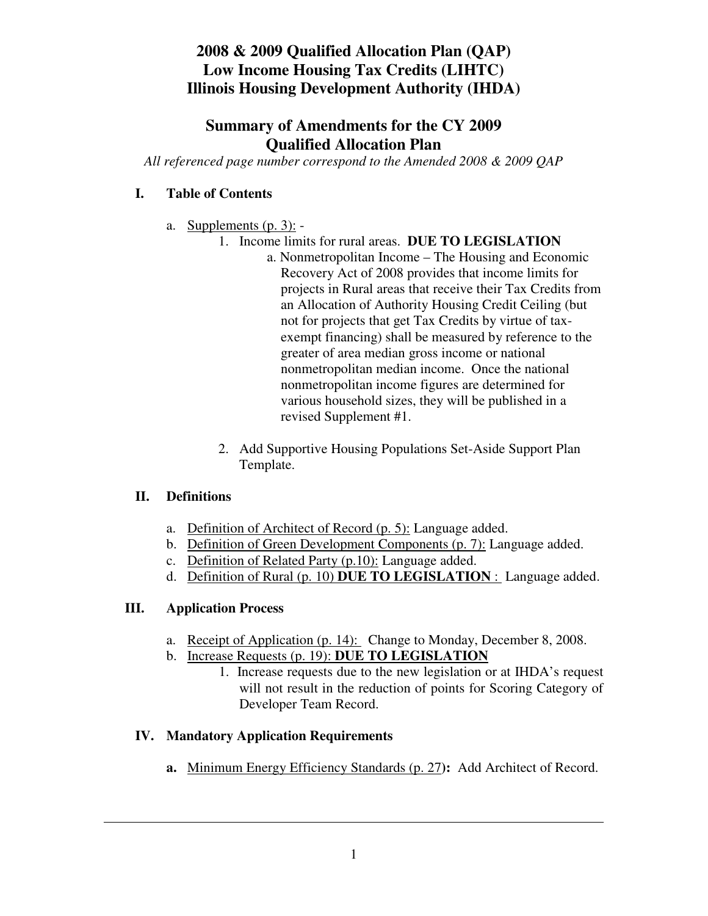## **Summary of Amendments for the CY 2009 Qualified Allocation Plan**

*All referenced page number correspond to the Amended 2008 & 2009 QAP* 

#### **I. Table of Contents**

- a. Supplements (p. 3):
	- 1. Income limits for rural areas. **DUE TO LEGISLATION**
		- a. Nonmetropolitan Income The Housing and Economic Recovery Act of 2008 provides that income limits for projects in Rural areas that receive their Tax Credits from an Allocation of Authority Housing Credit Ceiling (but not for projects that get Tax Credits by virtue of taxexempt financing) shall be measured by reference to the greater of area median gross income or national nonmetropolitan median income. Once the national nonmetropolitan income figures are determined for various household sizes, they will be published in a revised Supplement #1.
		- 2. Add Supportive Housing Populations Set-Aside Support Plan Template.

#### **II. Definitions**

- a. Definition of Architect of Record (p. 5): Language added.
- b. Definition of Green Development Components (p. 7): Language added.
- c. Definition of Related Party (p.10): Language added.
- d. Definition of Rural (p. 10) **DUE TO LEGISLATION** : Language added.

### **III. Application Process**

- a. Receipt of Application (p. 14): Change to Monday, December 8, 2008.
- b. Increase Requests (p. 19): **DUE TO LEGISLATION**
	- 1. Increase requests due to the new legislation or at IHDA's request will not result in the reduction of points for Scoring Category of Developer Team Record.

### **IV. Mandatory Application Requirements**

**a.** Minimum Energy Efficiency Standards (p. 27**):** Add Architect of Record.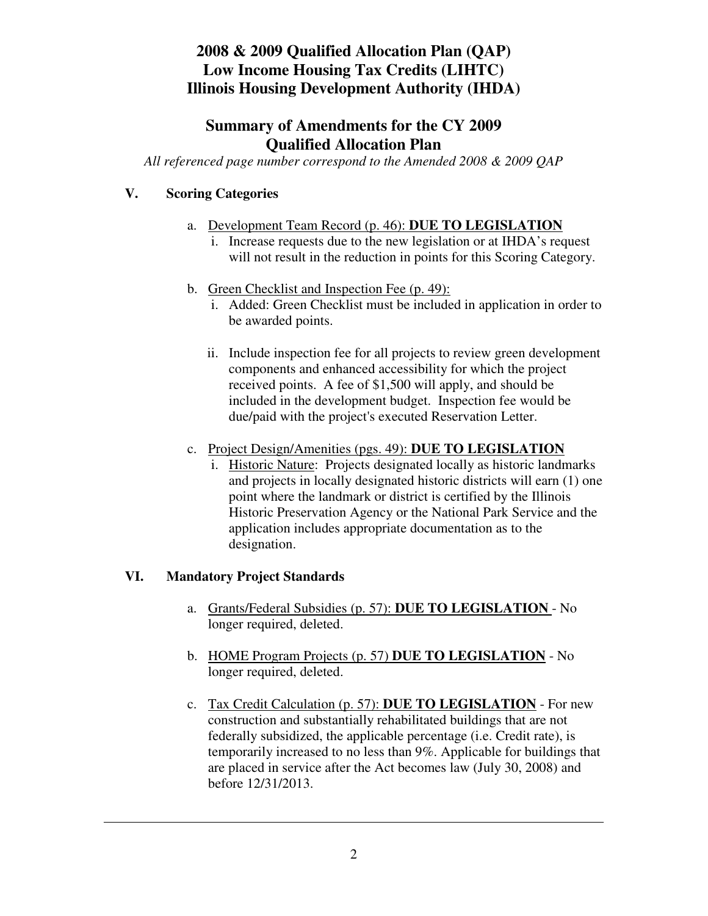## **Summary of Amendments for the CY 2009 Qualified Allocation Plan**

*All referenced page number correspond to the Amended 2008 & 2009 QAP* 

#### **V. Scoring Categories**

#### a. Development Team Record (p. 46): **DUE TO LEGISLATION**

- i. Increase requests due to the new legislation or at IHDA's request will not result in the reduction in points for this Scoring Category.
- b. Green Checklist and Inspection Fee (p. 49):
	- i. Added: Green Checklist must be included in application in order to be awarded points.
	- ii. Include inspection fee for all projects to review green development components and enhanced accessibility for which the project received points. A fee of \$1,500 will apply, and should be included in the development budget. Inspection fee would be due/paid with the project's executed Reservation Letter.
- c. Project Design/Amenities (pgs. 49): **DUE TO LEGISLATION**
	- i. Historic Nature: Projects designated locally as historic landmarks and projects in locally designated historic districts will earn (1) one point where the landmark or district is certified by the Illinois Historic Preservation Agency or the National Park Service and the application includes appropriate documentation as to the designation.

### **VI. Mandatory Project Standards**

- a. Grants/Federal Subsidies (p. 57): **DUE TO LEGISLATION**  No longer required, deleted.
- b. HOME Program Projects (p. 57) **DUE TO LEGISLATION** No longer required, deleted.
- c. Tax Credit Calculation (p. 57): **DUE TO LEGISLATION** For new construction and substantially rehabilitated buildings that are not federally subsidized, the applicable percentage (i.e. Credit rate), is temporarily increased to no less than 9%. Applicable for buildings that are placed in service after the Act becomes law (July 30, 2008) and before 12/31/2013.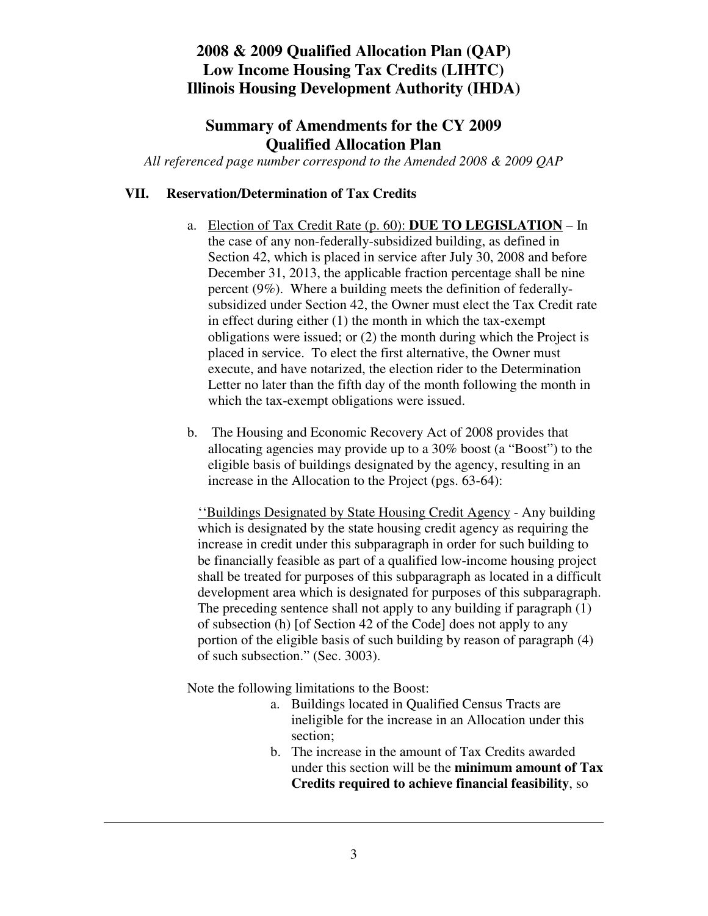# **Summary of Amendments for the CY 2009 Qualified Allocation Plan**

*All referenced page number correspond to the Amended 2008 & 2009 QAP* 

#### **VII. Reservation/Determination of Tax Credits**

- a. Election of Tax Credit Rate (p. 60): **DUE TO LEGISLATION** In the case of any non-federally-subsidized building, as defined in Section 42, which is placed in service after July 30, 2008 and before December 31, 2013, the applicable fraction percentage shall be nine percent (9%). Where a building meets the definition of federallysubsidized under Section 42, the Owner must elect the Tax Credit rate in effect during either (1) the month in which the tax-exempt obligations were issued; or (2) the month during which the Project is placed in service. To elect the first alternative, the Owner must execute, and have notarized, the election rider to the Determination Letter no later than the fifth day of the month following the month in which the tax-exempt obligations were issued.
- b. The Housing and Economic Recovery Act of 2008 provides that allocating agencies may provide up to a 30% boost (a "Boost") to the eligible basis of buildings designated by the agency, resulting in an increase in the Allocation to the Project (pgs. 63-64):

''Buildings Designated by State Housing Credit Agency - Any building which is designated by the state housing credit agency as requiring the increase in credit under this subparagraph in order for such building to be financially feasible as part of a qualified low-income housing project shall be treated for purposes of this subparagraph as located in a difficult development area which is designated for purposes of this subparagraph. The preceding sentence shall not apply to any building if paragraph (1) of subsection (h) [of Section 42 of the Code] does not apply to any portion of the eligible basis of such building by reason of paragraph (4) of such subsection." (Sec. 3003).

Note the following limitations to the Boost:

- a. Buildings located in Qualified Census Tracts are ineligible for the increase in an Allocation under this section;
- b. The increase in the amount of Tax Credits awarded under this section will be the **minimum amount of Tax Credits required to achieve financial feasibility**, so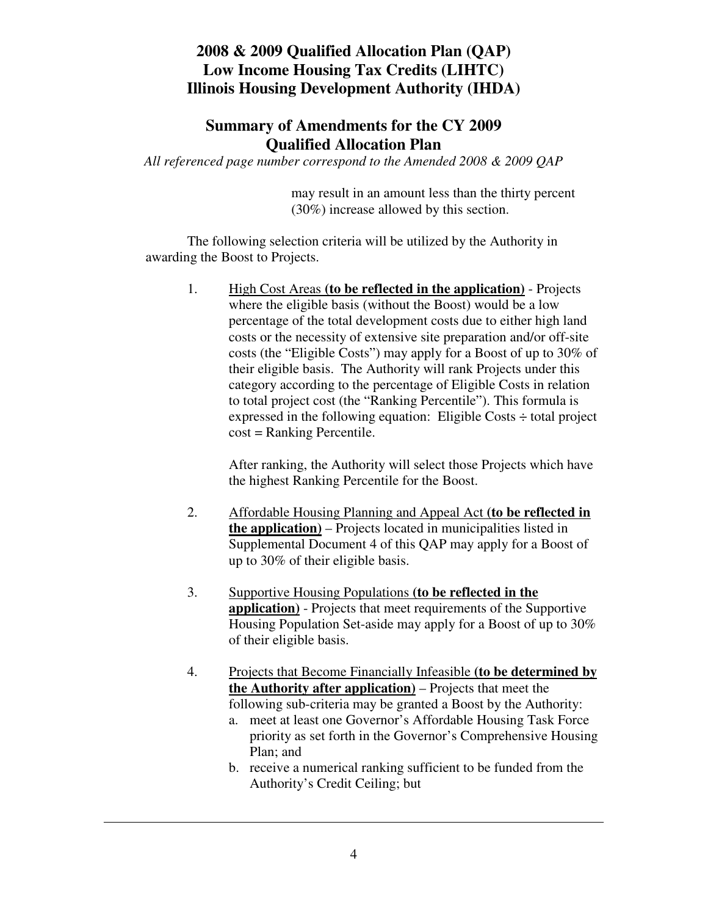## **Summary of Amendments for the CY 2009 Qualified Allocation Plan**

*All referenced page number correspond to the Amended 2008 & 2009 QAP* 

may result in an amount less than the thirty percent (30%) increase allowed by this section.

The following selection criteria will be utilized by the Authority in awarding the Boost to Projects.

1. High Cost Areas **(to be reflected in the application)** - Projects where the eligible basis (without the Boost) would be a low percentage of the total development costs due to either high land costs or the necessity of extensive site preparation and/or off-site costs (the "Eligible Costs") may apply for a Boost of up to 30% of their eligible basis. The Authority will rank Projects under this category according to the percentage of Eligible Costs in relation to total project cost (the "Ranking Percentile"). This formula is expressed in the following equation: Eligible Costs ÷ total project cost = Ranking Percentile.

> After ranking, the Authority will select those Projects which have the highest Ranking Percentile for the Boost.

- 2. Affordable Housing Planning and Appeal Act **(to be reflected in the application)** – Projects located in municipalities listed in Supplemental Document 4 of this QAP may apply for a Boost of up to 30% of their eligible basis.
- 3. Supportive Housing Populations **(to be reflected in the application)** - Projects that meet requirements of the Supportive Housing Population Set-aside may apply for a Boost of up to 30% of their eligible basis.
- 4. Projects that Become Financially Infeasible **(to be determined by the Authority after application)** – Projects that meet the following sub-criteria may be granted a Boost by the Authority:
	- a. meet at least one Governor's Affordable Housing Task Force priority as set forth in the Governor's Comprehensive Housing Plan; and
	- b. receive a numerical ranking sufficient to be funded from the Authority's Credit Ceiling; but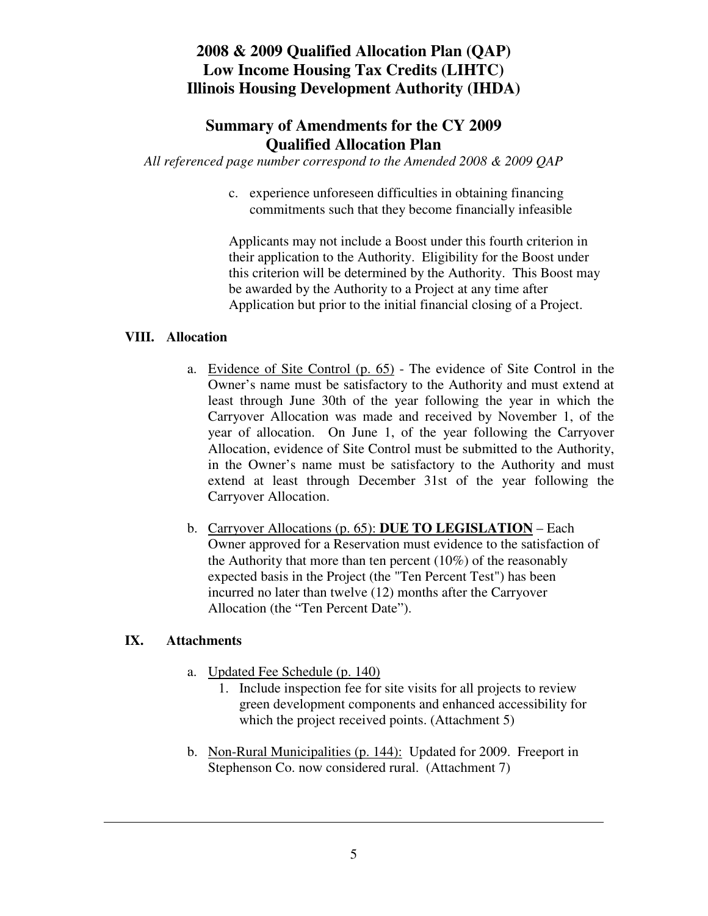## **Summary of Amendments for the CY 2009 Qualified Allocation Plan**

*All referenced page number correspond to the Amended 2008 & 2009 QAP* 

c. experience unforeseen difficulties in obtaining financing commitments such that they become financially infeasible

Applicants may not include a Boost under this fourth criterion in their application to the Authority. Eligibility for the Boost under this criterion will be determined by the Authority. This Boost may be awarded by the Authority to a Project at any time after Application but prior to the initial financial closing of a Project.

### **VIII. Allocation**

- a. Evidence of Site Control (p. 65) The evidence of Site Control in the Owner's name must be satisfactory to the Authority and must extend at least through June 30th of the year following the year in which the Carryover Allocation was made and received by November 1, of the year of allocation. On June 1, of the year following the Carryover Allocation, evidence of Site Control must be submitted to the Authority, in the Owner's name must be satisfactory to the Authority and must extend at least through December 31st of the year following the Carryover Allocation.
- b. Carryover Allocations (p. 65): **DUE TO LEGISLATION** Each Owner approved for a Reservation must evidence to the satisfaction of the Authority that more than ten percent (10%) of the reasonably expected basis in the Project (the "Ten Percent Test") has been incurred no later than twelve (12) months after the Carryover Allocation (the "Ten Percent Date").

#### **IX. Attachments**

- a. Updated Fee Schedule (p. 140)
	- 1. Include inspection fee for site visits for all projects to review green development components and enhanced accessibility for which the project received points. (Attachment 5)
- b. Non-Rural Municipalities (p. 144): Updated for 2009. Freeport in Stephenson Co. now considered rural. (Attachment 7)